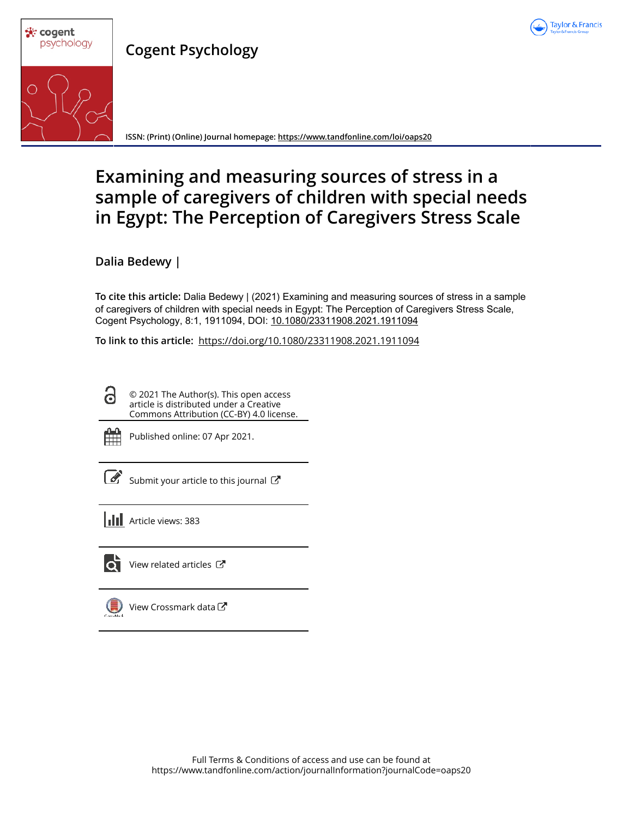

**Cogent Psychology**



**ISSN: (Print) (Online) Journal homepage: https://www.tandfonline.com/loi/oaps20**

# **Examining and measuring sources of stress in a sample of caregivers of children with special needs in Egypt: The Perception of Caregivers Stress Scale**

**Dalia Bedewy |**

**To cite this article:** Dalia Bedewy | (2021) Examining and measuring sources of stress in a sample of caregivers of children with special needs in Egypt: The Perception of Caregivers Stress Scale, Cogent Psychology, 8:1, 1911094, DOI: 10.1080/23311908.2021.1911094

**To link to this article:** https://doi.org/10.1080/23311908.2021.1911094

© 2021 The Author(s). This open access article is distributed under a Creative Commons Attribution (CC-BY) 4.0 license.



Published online: 07 Apr 2021.

Submit your article to this journal  $\mathbb{Z}$ 

**III** Article views: 383



 $\bullet$  View related articles  $\mathbb{Z}$ 



 $\bigcirc$  View Crossmark data  $\mathbb{Z}$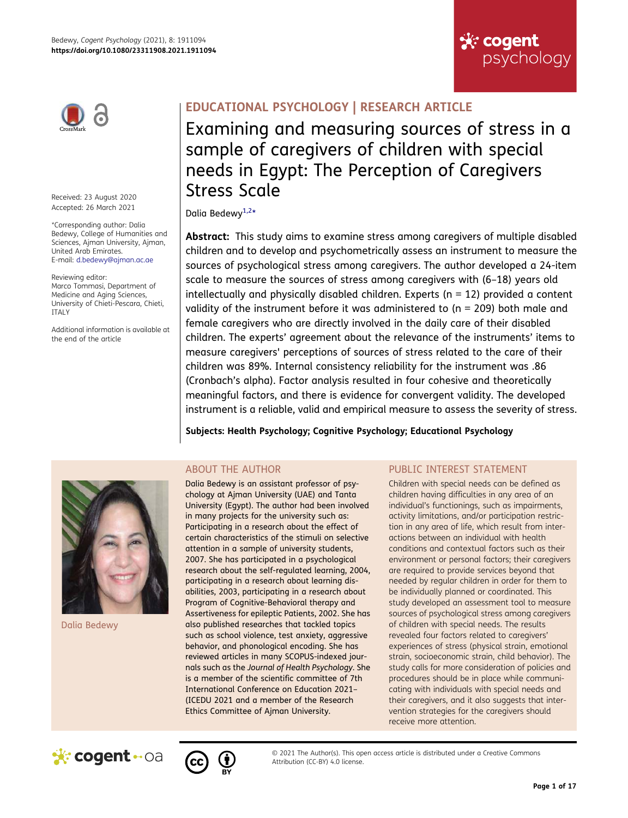



Received: 23 August 2020 Accepted: 26 March 2021

\*Corresponding author: Dalia Bedewy, College of Humanities and Sciences, Ajman University, Ajman, United Arab Emirates. E-mail: d.bedewy@ajman.ac.ae

Reviewing editor: Marco Tommasi, Department of Medicine and Aging Sciences, University of Chieti-Pescara, Chieti, ITALY

Additional information is available at the end of the article

## **EDUCATIONAL PSYCHOLOGY | RESEARCH ARTICLE**

Examining and measuring sources of stress in a sample of caregivers of children with special needs in Egypt: The Perception of Caregivers Stress Scale

### <span id="page-1-0"></span>Dalia Bedewy<sup>[1,2](#page-13-0)\*</sup>

**Abstract:** This study aims to examine stress among caregivers of multiple disabled children and to develop and psychometrically assess an instrument to measure the sources of psychological stress among caregivers. The author developed a 24-item scale to measure the sources of stress among caregivers with (6–18) years old intellectually and physically disabled children. Experts ( $n = 12$ ) provided a content validity of the instrument before it was administered to ( $n = 209$ ) both male and female caregivers who are directly involved in the daily care of their disabled children. The experts' agreement about the relevance of the instruments' items to measure caregivers' perceptions of sources of stress related to the care of their children was 89%. Internal consistency reliability for the instrument was .86 (Cronbach's alpha). Factor analysis resulted in four cohesive and theoretically meaningful factors, and there is evidence for convergent validity. The developed instrument is a reliable, valid and empirical measure to assess the severity of stress.

**Subjects: Health Psychology; Cognitive Psychology; Educational Psychology** 



Dalia Bedewy

## ABOUT THE AUTHOR

Dalia Bedewy is an assistant professor of psychology at Ajman University (UAE) and Tanta University (Egypt). The author had been involved in many projects for the university such as: Participating in a research about the effect of certain characteristics of the stimuli on selective attention in a sample of university students, 2007. She has participated in a psychological research about the self-regulated learning, 2004, participating in a research about learning disabilities, 2003, participating in a research about Program of Cognitive-Behavioral therapy and Assertiveness for epileptic Patients, 2002. She has also published researches that tackled topics such as school violence, test anxiety, aggressive behavior, and phonological encoding. She has reviewed articles in many SCOPUS-indexed journals such as the *Journal of Health Psychology*. She is a member of the scientific committee of 7th International Conference on Education 2021– (ICEDU 2021 and a member of the Research Ethics Committee of Ajman University.

## PUBLIC INTEREST STATEMENT

Children with special needs can be defined as children having difficulties in any area of an individual's functionings, such as impairments, activity limitations, and/or participation restriction in any area of life, which result from interactions between an individual with health conditions and contextual factors such as their environment or personal factors; their caregivers are required to provide services beyond that needed by regular children in order for them to be individually planned or coordinated. This study developed an assessment tool to measure sources of psychological stress among caregivers of children with special needs. The results revealed four factors related to caregivers' experiences of stress (physical strain, emotional strain, socioeconomic strain, child behavior). The study calls for more consideration of policies and procedures should be in place while communicating with individuals with special needs and their caregivers, and it also suggests that intervention strategies for the caregivers should receive more attention.





© 2021 The Author(s). This open access article is distributed under a Creative Commons Attribution (CC-BY) 4.0 license.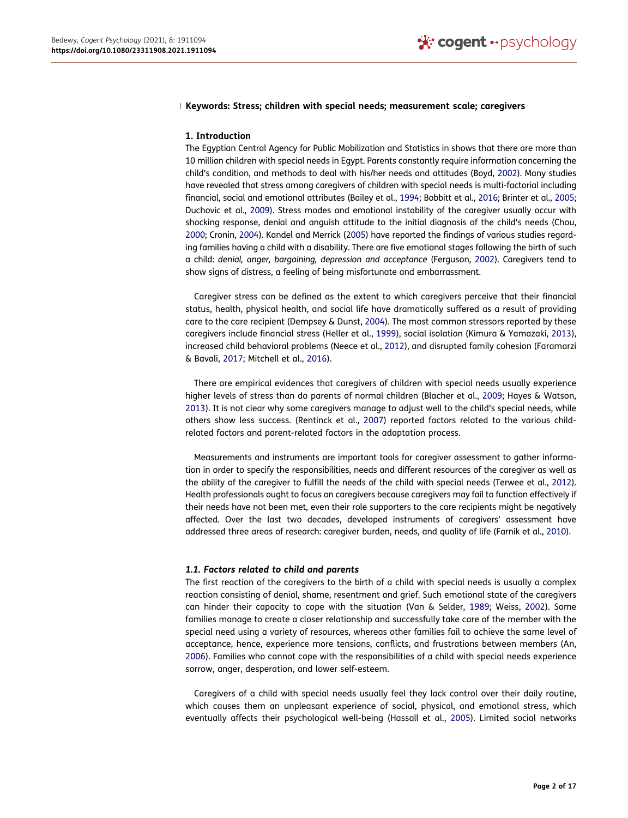### **Keywords: Stress; children with special needs; measurement scale; caregivers**

### **1. Introduction**

<span id="page-2-7"></span><span id="page-2-4"></span><span id="page-2-3"></span><span id="page-2-1"></span>The Egyptian Central Agency for Public Mobilization and Statistics in shows that there are more than 10 million children with special needs in Egypt. Parents constantly require information concerning the child's condition, and methods to deal with his/her needs and attitudes (Boyd, [2002\)](#page-13-1). Many studies have revealed that stress among caregivers of children with special needs is multi-factorial including financial, social and emotional attributes (Bailey et al., [1994;](#page-13-2) Bobbitt et al., [2016](#page-13-3); Brinter et al., [2005](#page-13-4); Duchovic et al., [2009\)](#page-13-5). Stress modes and emotional instability of the caregiver usually occur with shocking response, denial and anguish attitude to the initial diagnosis of the child's needs (Chou, [2000](#page-13-6); Cronin, [2004](#page-13-7)). Kandel and Merrick ([2005\)](#page-14-0) have reported the findings of various studies regarding families having a child with a disability. There are five emotional stages following the birth of such a child: *denial, anger, bargaining, depression and acceptance* (Ferguson, [2002](#page-13-8)). Caregivers tend to show signs of distress, a feeling of being misfortunate and embarrassment.

<span id="page-2-12"></span><span id="page-2-10"></span><span id="page-2-6"></span><span id="page-2-5"></span>Caregiver stress can be defined as the extent to which caregivers perceive that their financial status, health, physical health, and social life have dramatically suffered as a result of providing care to the care recipient (Dempsey & Dunst, [2004\)](#page-13-9). The most common stressors reported by these caregivers include financial stress (Heller et al., [1999](#page-14-1)), social isolation (Kimura & Yamazaki, [2013\)](#page-14-2), increased child behavioral problems (Neece et al., [2012\)](#page-14-3), and disrupted family cohesion (Faramarzi & Bavali, [2017;](#page-13-10) Mitchell et al., [2016](#page-14-4)).

<span id="page-2-14"></span><span id="page-2-13"></span><span id="page-2-8"></span><span id="page-2-2"></span>There are empirical evidences that caregivers of children with special needs usually experience higher levels of stress than do parents of normal children (Blacher et al., [2009;](#page-13-11) Hayes & Watson, [2013](#page-14-5)). It is not clear why some caregivers manage to adjust well to the child's special needs, while others show less success. (Rentinck et al., [2007](#page-14-6)) reported factors related to the various childrelated factors and parent-related factors in the adaptation process.

<span id="page-2-15"></span>Measurements and instruments are important tools for caregiver assessment to gather information in order to specify the responsibilities, needs and different resources of the caregiver as well as the ability of the caregiver to fulfill the needs of the child with special needs (Terwee et al., [2012\)](#page-14-7). Health professionals ought to focus on caregivers because caregivers may fail to function effectively if their needs have not been met, even their role supporters to the care recipients might be negatively affected. Over the last two decades, developed instruments of caregivers' assessment have addressed three areas of research: caregiver burden, needs, and quality of life (Farnik et al., [2010](#page-13-12)).

### <span id="page-2-9"></span>*1.1. Factors related to child and parents*

<span id="page-2-16"></span>The first reaction of the caregivers to the birth of a child with special needs is usually a complex reaction consisting of denial, shame, resentment and grief. Such emotional state of the caregivers can hinder their capacity to cope with the situation (Van & Selder, [1989](#page-14-8); Weiss, [2002](#page-14-9)). Some families manage to create a closer relationship and successfully take care of the member with the special need using a variety of resources, whereas other families fail to achieve the same level of acceptance, hence, experience more tensions, conflicts, and frustrations between members (An, [2006](#page-13-13)). Families who cannot cope with the responsibilities of a child with special needs experience sorrow, anger, desperation, and lower self-esteem.

<span id="page-2-11"></span><span id="page-2-0"></span>Caregivers of a child with special needs usually feel they lack control over their daily routine, which causes them an unpleasant experience of social, physical, and emotional stress, which eventually affects their psychological well-being (Hassall et al., [2005\)](#page-14-10). Limited social networks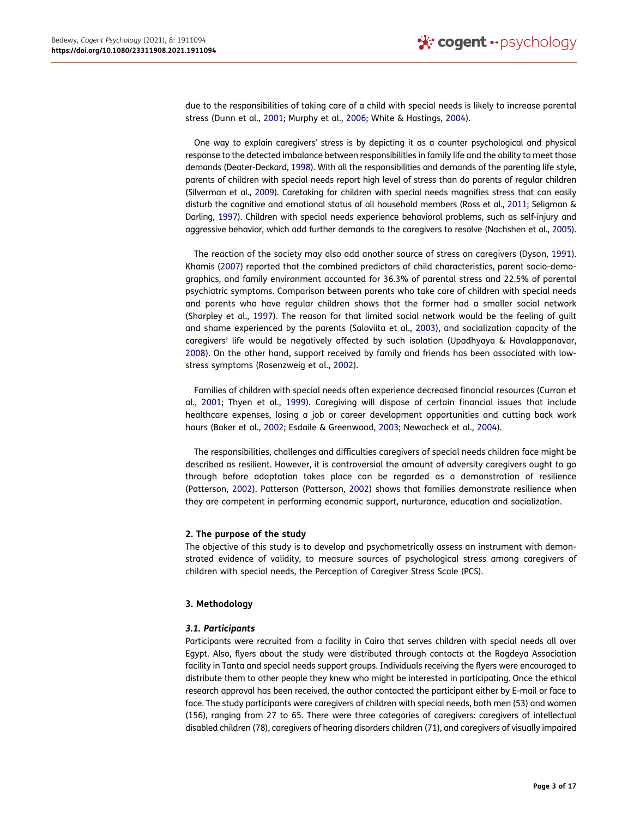<span id="page-3-3"></span>due to the responsibilities of taking care of a child with special needs is likely to increase parental stress (Dunn et al., [2001](#page-13-14); Murphy et al., [2006](#page-14-11); White & Hastings, [2004](#page-14-12)).

<span id="page-3-13"></span><span id="page-3-2"></span>One way to explain caregivers' stress is by depicting it as a counter psychological and physical response to the detected imbalance between responsibilities in family life and the ability to meet those demands (Deater-Deckard, [1998](#page-13-15)). With all the responsibilities and demands of the parenting life style, parents of children with special needs report high level of stress than do parents of regular children (Silverman et al., [2009](#page-14-13)). Caretaking for children with special needs magnifies stress that can easily disturb the cognitive and emotional status of all household members (Ross et al., [2011](#page-14-14); Seligman & Darling, [1997\)](#page-14-15). Children with special needs experience behavioral problems, such as self-injury and aggressive behavior, which add further demands to the caregivers to resolve (Nachshen et al., [2005\)](#page-14-16).

<span id="page-3-12"></span><span id="page-3-11"></span><span id="page-3-9"></span><span id="page-3-6"></span><span id="page-3-5"></span><span id="page-3-4"></span>The reaction of the society may also add another source of stress on caregivers (Dyson, [1991\)](#page-13-16). Khamis ([2007](#page-14-17)) reported that the combined predictors of child characteristics, parent socio-demographics, and family environment accounted for 36.3% of parental stress and 22.5% of parental psychiatric symptoms. Comparison between parents who take care of children with special needs and parents who have regular children shows that the former had a smaller social network (Sharpley et al., [1997\)](#page-14-18). The reason for that limited social network would be the feeling of guilt and shame experienced by the parents (Saloviita et al., [2003\)](#page-14-19), and socialization capacity of the caregivers' life would be negatively affected by such isolation (Upadhyaya & Havalappanavar, [2008](#page-14-20)). On the other hand, support received by family and friends has been associated with lowstress symptoms (Rosenzweig et al., [2002\)](#page-14-21).

<span id="page-3-14"></span><span id="page-3-10"></span><span id="page-3-8"></span><span id="page-3-1"></span>Families of children with special needs often experience decreased financial resources (Curran et al., [2001](#page-13-17); Thyen et al., [1999\)](#page-14-22). Caregiving will dispose of certain financial issues that include healthcare expenses, losing a job or career development opportunities and cutting back work hours (Baker et al., [2002](#page-13-18); Esdaile & Greenwood, [2003](#page-13-19); Newacheck et al., [2004](#page-14-23)).

<span id="page-3-7"></span><span id="page-3-0"></span>The responsibilities, challenges and difficulties caregivers of special needs children face might be described as resilient. However, it is controversial the amount of adversity caregivers ought to go through before adaptation takes place can be regarded as a demonstration of resilience (Patterson, [2002\)](#page-14-24). Patterson (Patterson, [2002](#page-14-24)) shows that families demonstrate resilience when they are competent in performing economic support, nurturance, education and socialization.

### **2. The purpose of the study**

The objective of this study is to develop and psychometrically assess an instrument with demonstrated evidence of validity, to measure sources of psychological stress among caregivers of children with special needs, the Perception of Caregiver Stress Scale (PCS).

### **3. Methodology**

### *3.1. Participants*

Participants were recruited from a facility in Cairo that serves children with special needs all over Egypt. Also, flyers about the study were distributed through contacts at the Ragdeya Association facility in Tanta and special needs support groups. Individuals receiving the flyers were encouraged to distribute them to other people they knew who might be interested in participating. Once the ethical research approval has been received, the author contacted the participant either by E-mail or face to face. The study participants were caregivers of children with special needs, both men (53) and women (156), ranging from 27 to 65. There were three categories of caregivers: caregivers of intellectual disabled children (78), caregivers of hearing disorders children (71), and caregivers of visually impaired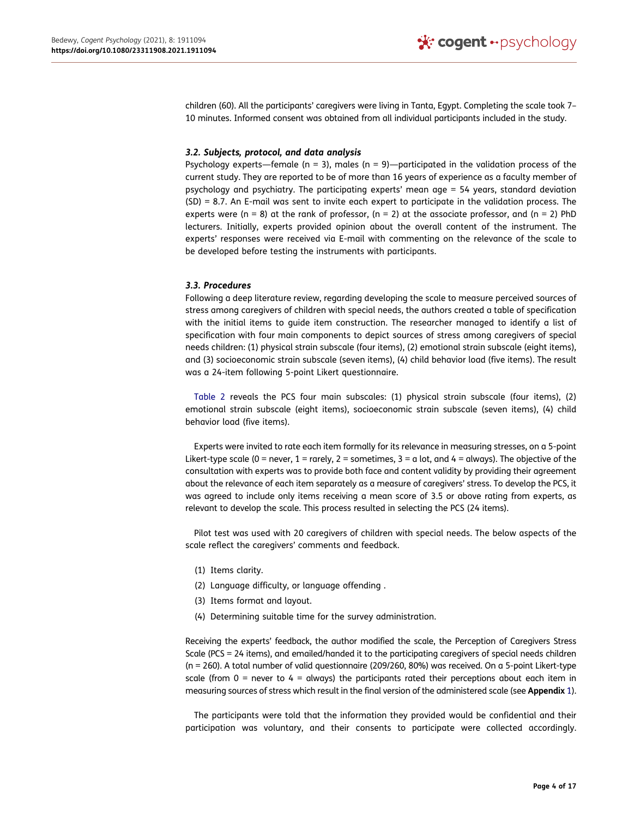children (60). All the participants' caregivers were living in Tanta, Egypt. Completing the scale took 7– 10 minutes. Informed consent was obtained from all individual participants included in the study.

### *3.2. Subjects, protocol, and data analysis*

Psychology experts—female ( $n = 3$ ), males ( $n = 9$ )—participated in the validation process of the current study. They are reported to be of more than 16 years of experience as a faculty member of psychology and psychiatry. The participating experts' mean age = 54 years, standard deviation (SD) = 8.7. An E-mail was sent to invite each expert to participate in the validation process. The experts were (n = 8) at the rank of professor, (n = 2) at the associate professor, and (n = 2) PhD lecturers. Initially, experts provided opinion about the overall content of the instrument. The experts' responses were received via E-mail with commenting on the relevance of the scale to be developed before testing the instruments with participants.

### *3.3. Procedures*

Following a deep literature review, regarding developing the scale to measure perceived sources of stress among caregivers of children with special needs, the authors created a table of specification with the initial items to guide item construction. The researcher managed to identify a list of specification with four main components to depict sources of stress among caregivers of special needs children: (1) physical strain subscale (four items), (2) emotional strain subscale (eight items), and (3) socioeconomic strain subscale (seven items), (4) child behavior load (five items). The result was a 24-item following 5-point Likert questionnaire.

[Table 2](#page-6-0) reveals the PCS four main subscales: (1) physical strain subscale (four items), (2) emotional strain subscale (eight items), socioeconomic strain subscale (seven items), (4) child behavior load (five items).

Experts were invited to rate each item formally for its relevance in measuring stresses, on a 5-point Likert-type scale (0 = never, 1 = rarely, 2 = sometimes, 3 = a lot, and 4 = always). The objective of the consultation with experts was to provide both face and content validity by providing their agreement about the relevance of each item separately as a measure of caregivers' stress. To develop the PCS, it was agreed to include only items receiving a mean score of 3.5 or above rating from experts, as relevant to develop the scale. This process resulted in selecting the PCS (24 items).

Pilot test was used with 20 caregivers of children with special needs. The below aspects of the scale reflect the caregivers' comments and feedback.

- (1) Items clarity.
- (2) Language difficulty, or language offending .
- (3) Items format and layout.
- (4) Determining suitable time for the survey administration.

Receiving the experts' feedback, the author modified the scale, the Perception of Caregivers Stress Scale (PCS = 24 items), and emailed/handed it to the participating caregivers of special needs children (n = 260). A total number of valid questionnaire (209/260, 80%) was received. On a 5-point Likert-type scale (from  $0 =$  never to  $4 =$  always) the participants rated their perceptions about each item in measuring sources of stress which result in the final version of the administered scale (see **Appendix** 1).

The participants were told that the information they provided would be confidential and their participation was voluntary, and their consents to participate were collected accordingly.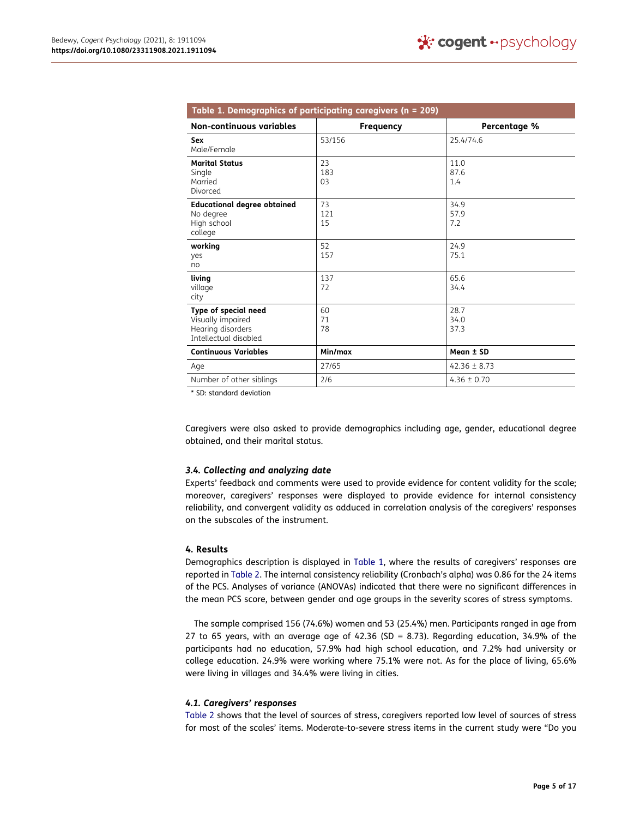<span id="page-5-0"></span>

| Table 1. Demographics of participating caregivers ( $n = 209$ )                         |                  |                      |  |  |  |  |
|-----------------------------------------------------------------------------------------|------------------|----------------------|--|--|--|--|
| Non-continuous variables                                                                | <b>Frequency</b> | Percentage %         |  |  |  |  |
| Sex<br>Male/Female                                                                      | 53/156           | 25.4/74.6            |  |  |  |  |
| <b>Marital Status</b><br>Single<br>Married<br>Divorced                                  | 23<br>183<br>03  | 11.0<br>87.6<br>1.4  |  |  |  |  |
| <b>Educational degree obtained</b><br>No degree<br>High school<br>college               | 73<br>121<br>15  | 34.9<br>57.9<br>7.2  |  |  |  |  |
| working<br>yes<br>no                                                                    | 52<br>157        | 24.9<br>75.1         |  |  |  |  |
| living<br>village<br>city                                                               | 137<br>72        | 65.6<br>34.4         |  |  |  |  |
| Type of special need<br>Visually impaired<br>Hearing disorders<br>Intellectual disabled | 60<br>71<br>78   | 28.7<br>34.0<br>37.3 |  |  |  |  |
| <b>Continuous Variables</b>                                                             | Min/max          | Mean ± SD            |  |  |  |  |
| Age                                                                                     | 27/65            | $42.36 \pm 8.73$     |  |  |  |  |
| Number of other siblings                                                                | 2/6              | $4.36 \pm 0.70$      |  |  |  |  |

\* SD: standard deviation

Caregivers were also asked to provide demographics including age, gender, educational degree obtained, and their marital status.

### *3.4. Collecting and analyzing date*

Experts' feedback and comments were used to provide evidence for content validity for the scale; moreover, caregivers' responses were displayed to provide evidence for internal consistency reliability, and convergent validity as adduced in correlation analysis of the caregivers' responses on the subscales of the instrument.

### **4. Results**

Demographics description is displayed in [Table 1](#page-5-0), where the results of caregivers' responses are reported in [Table 2](#page-6-0). The internal consistency reliability (Cronbach's alpha) was 0.86 for the 24 items of the PCS. Analyses of variance (ANOVAs) indicated that there were no significant differences in the mean PCS score, between gender and age groups in the severity scores of stress symptoms.

The sample comprised 156 (74.6%) women and 53 (25.4%) men. Participants ranged in age from 27 to 65 years, with an average age of  $42.36$  (SD = 8.73). Regarding education, 34.9% of the participants had no education, 57.9% had high school education, and 7.2% had university or college education. 24.9% were working where 75.1% were not. As for the place of living, 65.6% were living in villages and 34.4% were living in cities.

### *4.1. Caregivers' responses*

[Table 2](#page-6-0) shows that the level of sources of stress, caregivers reported low level of sources of stress for most of the scales' items. Moderate-to-severe stress items in the current study were "Do you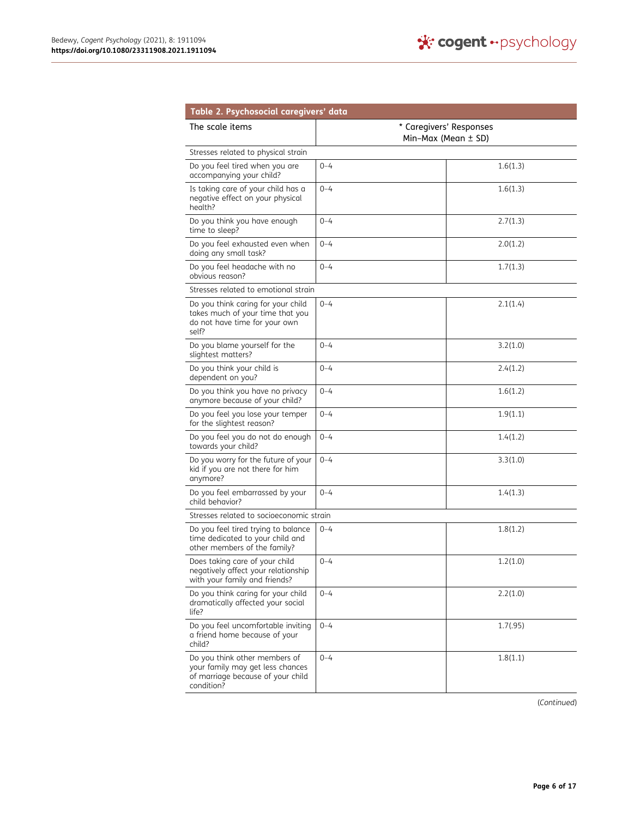<span id="page-6-0"></span>

| Table 2. Psychosocial caregivers' data                                                                               |                                                    |          |  |
|----------------------------------------------------------------------------------------------------------------------|----------------------------------------------------|----------|--|
| The scale items                                                                                                      | * Caregivers' Responses<br>Min-Max (Mean $\pm$ SD) |          |  |
| Stresses related to physical strain                                                                                  |                                                    |          |  |
| Do you feel tired when you are<br>accompanying your child?                                                           | $0 - 4$                                            | 1.6(1.3) |  |
| Is taking care of your child has a<br>negative effect on your physical<br>health?                                    | $0 - 4$                                            | 1.6(1.3) |  |
| Do you think you have enough<br>time to sleep?                                                                       | $0 - 4$                                            | 2.7(1.3) |  |
| Do you feel exhausted even when<br>doing any small task?                                                             | $0 - 4$                                            | 2.0(1.2) |  |
| Do you feel headache with no<br>obvious reason?                                                                      | $0 - 4$                                            | 1.7(1.3) |  |
| Stresses related to emotional strain                                                                                 |                                                    |          |  |
| Do you think caring for your child<br>takes much of your time that you<br>do not have time for your own<br>self?     | $0 - 4$                                            | 2.1(1.4) |  |
| Do you blame yourself for the<br>slightest matters?                                                                  | $0 - 4$                                            | 3.2(1.0) |  |
| Do you think your child is<br>dependent on you?                                                                      | $0 - 4$                                            | 2.4(1.2) |  |
| Do you think you have no privacy<br>anymore because of your child?                                                   | $0 - 4$                                            | 1.6(1.2) |  |
| Do you feel you lose your temper<br>for the slightest reason?                                                        | $0 - 4$                                            | 1.9(1.1) |  |
| Do you feel you do not do enough<br>towards your child?                                                              | $0 - 4$                                            | 1.4(1.2) |  |
| Do you worry for the future of your<br>kid if you are not there for him<br>anymore?                                  | $0 - 4$                                            | 3.3(1.0) |  |
| Do you feel embarrassed by your<br>child behavior?                                                                   | $0 - 4$                                            | 1.4(1.3) |  |
| Stresses related to socioeconomic strain                                                                             |                                                    |          |  |
| Do you feel tired trying to balance<br>time dedicated to your child and<br>other members of the family?              | $0 - 4$                                            | 1.8(1.2) |  |
| Does taking care of your child<br>negatively affect your relationship<br>with your family and friends?               | $0 - 4$                                            | 1.2(1.0) |  |
| Do you think caring for your child<br>dramatically affected your social<br>life?                                     | $0 - 4$                                            | 2.2(1.0) |  |
| Do you feel uncomfortable inviting<br>a friend home because of your<br>child?                                        | $0 - 4$                                            | 1.7(.95) |  |
| Do you think other members of<br>your family may get less chances<br>of marriage because of your child<br>condition? | $0 - 4$                                            | 1.8(1.1) |  |

(*Continued*)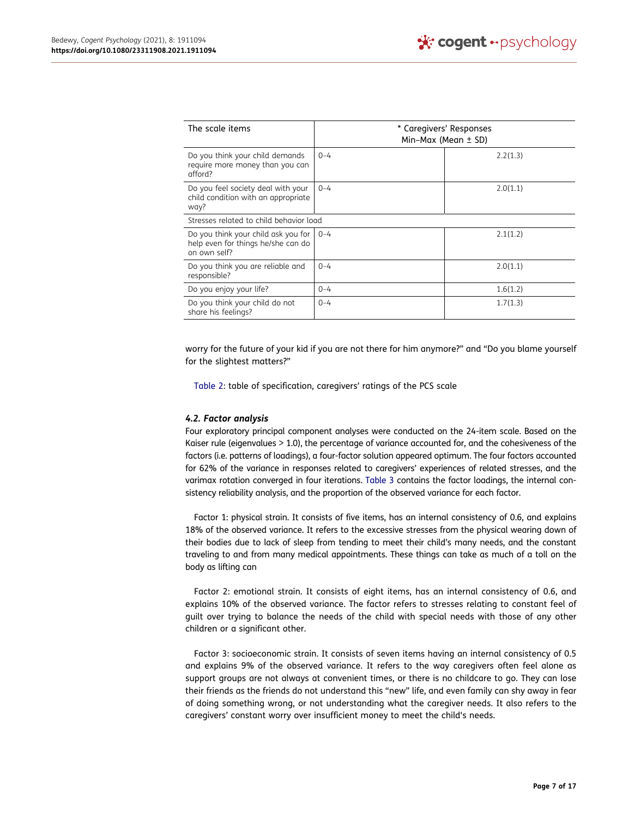| The scale items                                                                           | * Caregivers' Responses<br>Min-Max (Mean $\pm$ SD) |          |  |
|-------------------------------------------------------------------------------------------|----------------------------------------------------|----------|--|
| Do you think your child demands<br>require more money than you can<br>afford?             | $0 - 4$                                            | 2.2(1.3) |  |
| Do you feel society deal with your<br>child condition with an appropriate<br>way?         | $0 - 4$                                            | 2.0(1.1) |  |
| Stresses related to child behavior load                                                   |                                                    |          |  |
| Do you think your child ask you for<br>help even for things he/she can do<br>on own self? | $0 - 4$                                            | 2.1(1.2) |  |
| Do you think you are reliable and<br>responsible?                                         | $0 - 4$                                            | 2.0(1.1) |  |
| Do you enjoy your life?                                                                   | $0 - 4$                                            | 1.6(1.2) |  |
| Do you think your child do not<br>share his feelings?                                     | $0 - 4$                                            | 1.7(1.3) |  |

worry for the future of your kid if you are not there for him anymore?" and "Do you blame yourself for the slightest matters?"

[Table 2:](#page-6-0) table of specification, caregivers' ratings of the PCS scale

### *4.2. Factor analysis*

Four exploratory principal component analyses were conducted on the 24-item scale. Based on the Kaiser rule (eigenvalues > 1.0), the percentage of variance accounted for, and the cohesiveness of the factors (i.e. patterns of loadings), a four-factor solution appeared optimum. The four factors accounted for 62% of the variance in responses related to caregivers' experiences of related stresses, and the varimax rotation converged in four iterations. [Table 3](#page-8-0) contains the factor loadings, the internal consistency reliability analysis, and the proportion of the observed variance for each factor.

Factor 1: physical strain. It consists of five items, has an internal consistency of 0.6, and explains 18% of the observed variance. It refers to the excessive stresses from the physical wearing down of their bodies due to lack of sleep from tending to meet their child's many needs, and the constant traveling to and from many medical appointments. These things can take as much of a toll on the body as lifting can

Factor 2: emotional strain. It consists of eight items, has an internal consistency of 0.6, and explains 10% of the observed variance. The factor refers to stresses relating to constant feel of guilt over trying to balance the needs of the child with special needs with those of any other children or a significant other.

Factor 3: socioeconomic strain. It consists of seven items having an internal consistency of 0.5 and explains 9% of the observed variance. It refers to the way caregivers often feel alone as support groups are not always at convenient times, or there is no childcare to go. They can lose their friends as the friends do not understand this "new" life, and even family can shy away in fear of doing something wrong, or not understanding what the caregiver needs. It also refers to the caregivers' constant worry over insufficient money to meet the child's needs.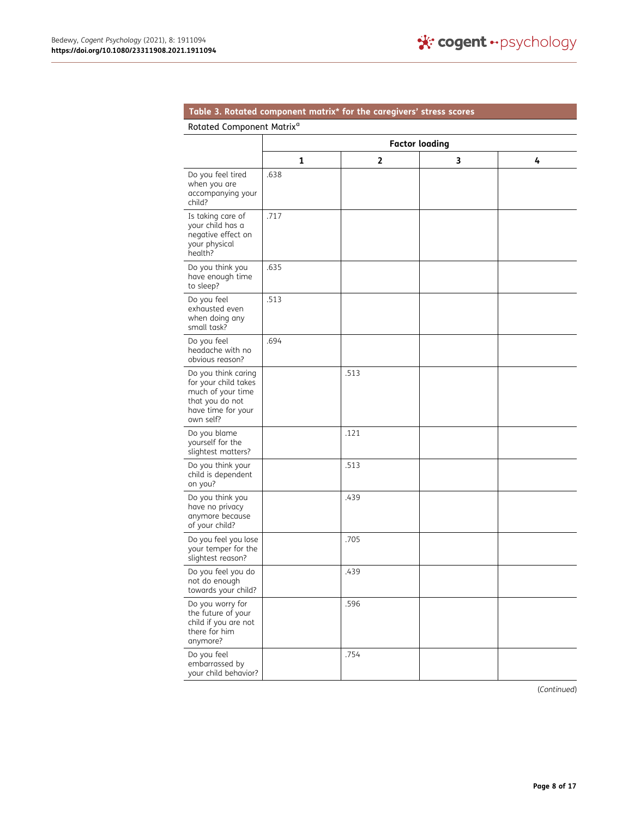## <span id="page-8-0"></span>**Table 3. Rotated component matrix\* for the caregivers' stress scores**

### Rotated Component Matrix<sup>a</sup>

|                                                                                                                        | <b>Factor loading</b> |      |   |   |  |
|------------------------------------------------------------------------------------------------------------------------|-----------------------|------|---|---|--|
|                                                                                                                        | 1                     | 2    | 3 | 4 |  |
| Do you feel tired<br>when you are<br>accompanying your<br>child?                                                       | .638                  |      |   |   |  |
| Is taking care of<br>your child has a<br>negative effect on<br>your physical<br>health?                                | .717                  |      |   |   |  |
| Do you think you<br>have enough time<br>to sleep?                                                                      | .635                  |      |   |   |  |
| Do you feel<br>exhausted even<br>when doing any<br>small task?                                                         | .513                  |      |   |   |  |
| Do you feel<br>headache with no<br>obvious reason?                                                                     | .694                  |      |   |   |  |
| Do you think caring<br>for your child takes<br>much of your time<br>that you do not<br>have time for your<br>own self? |                       | .513 |   |   |  |
| Do you blame<br>yourself for the<br>slightest matters?                                                                 |                       | .121 |   |   |  |
| Do you think your<br>child is dependent<br>on you?                                                                     |                       | .513 |   |   |  |
| Do you think you<br>have no privacy<br>anymore because<br>of your child?                                               |                       | .439 |   |   |  |
| Do you feel you lose<br>your temper for the<br>slightest reason?                                                       |                       | .705 |   |   |  |
| Do you feel you do<br>not do enough<br>towards your child?                                                             |                       | .439 |   |   |  |
| Do you worry for<br>the future of your<br>child if you are not<br>there for him<br>anymore?                            |                       | .596 |   |   |  |
| Do you feel<br>embarrassed by<br>your child behavior?                                                                  |                       | .754 |   |   |  |

(*Continued*)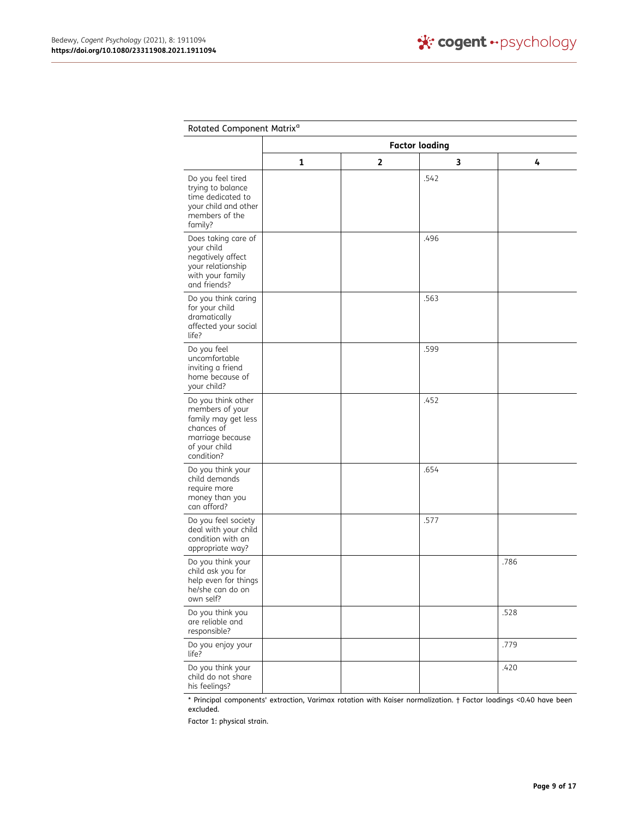$\overline{a}$ 

| Rotated Component Matrix <sup>a</sup>                                                                                         |                       |              |      |      |  |
|-------------------------------------------------------------------------------------------------------------------------------|-----------------------|--------------|------|------|--|
|                                                                                                                               | <b>Factor loading</b> |              |      |      |  |
|                                                                                                                               | $\mathbf{1}$          | $\mathbf{2}$ | 3    | 4    |  |
| Do you feel tired<br>trying to balance<br>time dedicated to<br>your child and other<br>members of the<br>family?              |                       |              | .542 |      |  |
| Does taking care of<br>your child<br>negatively affect<br>your relationship<br>with your family<br>and friends?               |                       |              | .496 |      |  |
| Do you think caring<br>for your child<br>dramatically<br>affected your social<br>life?                                        |                       |              | .563 |      |  |
| Do you feel<br>uncomfortable<br>inviting a friend<br>home because of<br>your child?                                           |                       |              | .599 |      |  |
| Do you think other<br>members of your<br>family may get less<br>chances of<br>marriage because<br>of your child<br>condition? |                       |              | .452 |      |  |
| Do you think your<br>child demands<br>require more<br>money than you<br>can afford?                                           |                       |              | .654 |      |  |
| Do you feel society<br>deal with your child<br>condition with an<br>appropriate way?                                          |                       |              | .577 |      |  |
| Do you think your<br>child ask you for<br>help even for things<br>he/she can do on<br>own self?                               |                       |              |      | .786 |  |
| Do you think you<br>are reliable and<br>responsible?                                                                          |                       |              |      | .528 |  |
| Do you enjoy your<br>life?                                                                                                    |                       |              |      | .779 |  |
| Do you think your<br>child do not share<br>his feelings?                                                                      |                       |              |      | .420 |  |

\* Principal components' extraction, Varimax rotation with Kaiser normalization. † Factor loadings <0.40 have been excluded.

Factor 1: physical strain.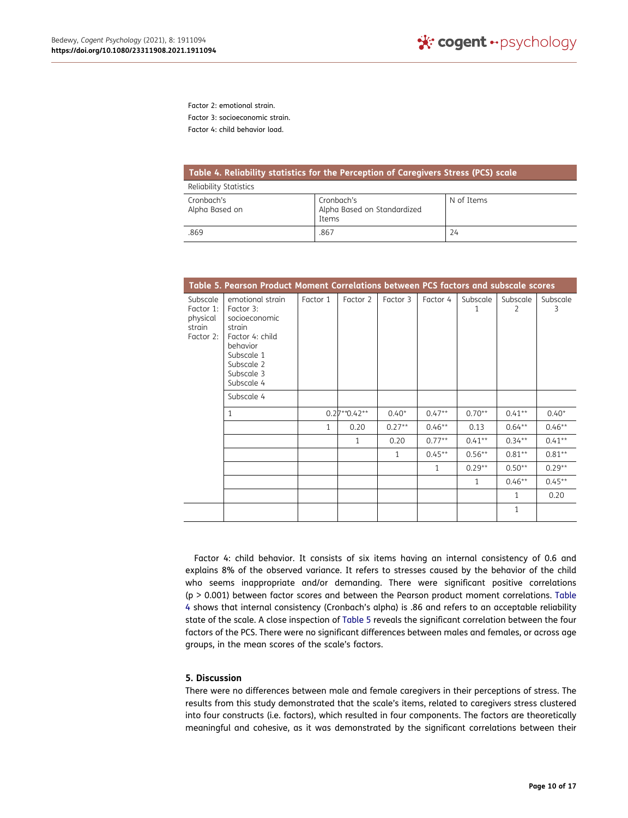Factor 2: emotional strain.

Factor 3: socioeconomic strain.

Factor 4: child behavior load.

<span id="page-10-0"></span>

| Table 4. Reliability statistics for the Perception of Caregivers Stress (PCS) scale |                                                    |            |  |  |  |
|-------------------------------------------------------------------------------------|----------------------------------------------------|------------|--|--|--|
| Reliability Statistics                                                              |                                                    |            |  |  |  |
| Cronbach's<br>Alpha Based on                                                        | Cronbach's<br>Alpha Based on Standardized<br>Items | N of Items |  |  |  |
| .869                                                                                | .867                                               | 24         |  |  |  |

<span id="page-10-1"></span>

|                                                          | Table 5. Pearson Product Moment Correlations between PCS factors and subscale scores                                                            |              |                |          |              |               |               |               |
|----------------------------------------------------------|-------------------------------------------------------------------------------------------------------------------------------------------------|--------------|----------------|----------|--------------|---------------|---------------|---------------|
| Subscale<br>Factor 1:<br>physical<br>strain<br>Factor 2: | emotional strain<br>Factor 3:<br>socioeconomic<br>strain<br>Factor 4: child<br>behavior<br>Subscale 1<br>Subscale 2<br>Subscale 3<br>Subscale 4 | Factor 1     | Factor 2       | Factor 3 | Factor 4     | Subscale<br>1 | Subscale<br>2 | Subscale<br>3 |
|                                                          | Subscale 4                                                                                                                                      |              |                |          |              |               |               |               |
|                                                          | 1                                                                                                                                               |              | $0.27**0.42**$ | $0.40*$  | $0.47**$     | $0.70**$      | $0.41**$      | $0.40*$       |
|                                                          |                                                                                                                                                 | $\mathbf{1}$ | 0.20           | $0.27**$ | $0.46**$     | 0.13          | $0.64***$     | $0.46**$      |
|                                                          |                                                                                                                                                 |              | 1              | 0.20     | $0.77**$     | $0.41**$      | $0.34***$     | $0.41**$      |
|                                                          |                                                                                                                                                 |              |                | 1        | $0.45***$    | $0.56**$      | $0.81**$      | $0.81**$      |
|                                                          |                                                                                                                                                 |              |                |          | $\mathbf{1}$ | $0.29**$      | $0.50**$      | $0.29**$      |
|                                                          |                                                                                                                                                 |              |                |          |              | $\mathbf{1}$  | $0.46**$      | $0.45**$      |
|                                                          |                                                                                                                                                 |              |                |          |              |               | $\mathbf{1}$  | 0.20          |
|                                                          |                                                                                                                                                 |              |                |          |              |               | 1             |               |

Factor 4: child behavior. It consists of six items having an internal consistency of 0.6 and explains 8% of the observed variance. It refers to stresses caused by the behavior of the child who seems inappropriate and/or demanding. There were significant positive correlations (p > 0.001) between factor scores and between the Pearson product moment correlations. [Table](#page-10-0)  [4](#page-10-0) shows that internal consistency (Cronbach's alpha) is .86 and refers to an acceptable reliability state of the scale. A close inspection of [Table 5](#page-10-1) reveals the significant correlation between the four factors of the PCS. There were no significant differences between males and females, or across age groups, in the mean scores of the scale's factors.

### **5. Discussion**

There were no differences between male and female caregivers in their perceptions of stress. The results from this study demonstrated that the scale's items, related to caregivers stress clustered into four constructs (i.e. factors), which resulted in four components. The factors are theoretically meaningful and cohesive, as it was demonstrated by the significant correlations between their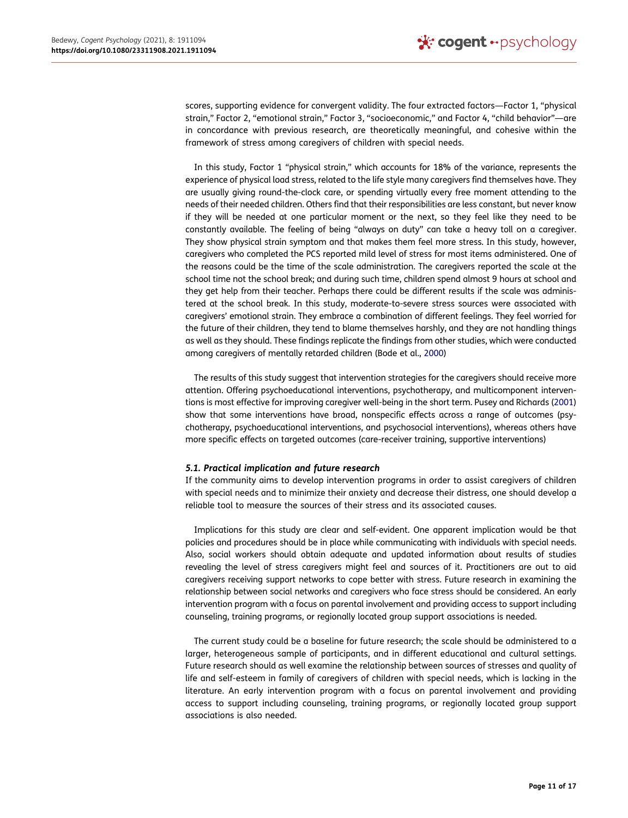scores, supporting evidence for convergent validity. The four extracted factors—Factor 1, "physical strain," Factor 2, "emotional strain," Factor 3, "socioeconomic," and Factor 4, "child behavior"—are in concordance with previous research, are theoretically meaningful, and cohesive within the framework of stress among caregivers of children with special needs.

In this study, Factor 1 "physical strain," which accounts for 18% of the variance, represents the experience of physical load stress, related to the life style many caregivers find themselves have. They are usually giving round-the-clock care, or spending virtually every free moment attending to the needs of their needed children. Others find that their responsibilities are less constant, but never know if they will be needed at one particular moment or the next, so they feel like they need to be constantly available. The feeling of being "always on duty" can take a heavy toll on a caregiver. They show physical strain symptom and that makes them feel more stress. In this study, however, caregivers who completed the PCS reported mild level of stress for most items administered. One of the reasons could be the time of the scale administration. The caregivers reported the scale at the school time not the school break; and during such time, children spend almost 9 hours at school and they get help from their teacher. Perhaps there could be different results if the scale was administered at the school break. In this study, moderate-to-severe stress sources were associated with caregivers' emotional strain. They embrace a combination of different feelings. They feel worried for the future of their children, they tend to blame themselves harshly, and they are not handling things as well as they should. These findings replicate the findings from other studies, which were conducted among caregivers of mentally retarded children (Bode et al., [2000\)](#page-13-20)

<span id="page-11-1"></span><span id="page-11-0"></span>The results of this study suggest that intervention strategies for the caregivers should receive more attention. Offering psychoeducational interventions, psychotherapy, and multicomponent interventions is most effective for improving caregiver well-being in the short term. Pusey and Richards ([2001\)](#page-14-25) show that some interventions have broad, nonspecific effects across a range of outcomes (psychotherapy, psychoeducational interventions, and psychosocial interventions), whereas others have more specific effects on targeted outcomes (care-receiver training, supportive interventions)

### *5.1. Practical implication and future research*

If the community aims to develop intervention programs in order to assist caregivers of children with special needs and to minimize their anxiety and decrease their distress, one should develop a reliable tool to measure the sources of their stress and its associated causes.

Implications for this study are clear and self-evident. One apparent implication would be that policies and procedures should be in place while communicating with individuals with special needs. Also, social workers should obtain adequate and updated information about results of studies revealing the level of stress caregivers might feel and sources of it. Practitioners are out to aid caregivers receiving support networks to cope better with stress. Future research in examining the relationship between social networks and caregivers who face stress should be considered. An early intervention program with a focus on parental involvement and providing access to support including counseling, training programs, or regionally located group support associations is needed.

The current study could be a baseline for future research; the scale should be administered to a larger, heterogeneous sample of participants, and in different educational and cultural settings. Future research should as well examine the relationship between sources of stresses and quality of life and self-esteem in family of caregivers of children with special needs, which is lacking in the literature. An early intervention program with a focus on parental involvement and providing access to support including counseling, training programs, or regionally located group support associations is also needed.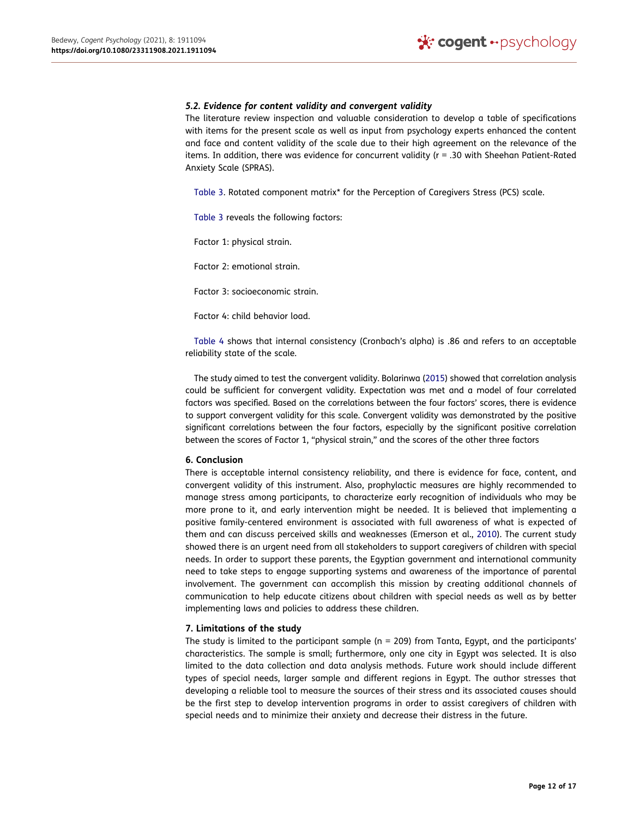### *5.2. Evidence for content validity and convergent validity*

The literature review inspection and valuable consideration to develop a table of specifications with items for the present scale as well as input from psychology experts enhanced the content and face and content validity of the scale due to their high agreement on the relevance of the items. In addition, there was evidence for concurrent validity (r = .30 with Sheehan Patient-Rated Anxiety Scale (SPRAS).

[Table 3.](#page-8-0) Rotated component matrix\* for the Perception of Caregivers Stress (PCS) scale.

[Table 3](#page-8-0) reveals the following factors:

Factor 1: physical strain.

Factor 2: emotional strain.

Factor 3: socioeconomic strain.

Factor 4: child behavior load.

[Table 4](#page-10-0) shows that internal consistency (Cronbach's alpha) is .86 and refers to an acceptable reliability state of the scale.

<span id="page-12-0"></span>The study aimed to test the convergent validity. Bolarinwa ([2015\)](#page-13-21) showed that correlation analysis could be sufficient for convergent validity. Expectation was met and a model of four correlated factors was specified. Based on the correlations between the four factors' scores, there is evidence to support convergent validity for this scale. Convergent validity was demonstrated by the positive significant correlations between the four factors, especially by the significant positive correlation between the scores of Factor 1, "physical strain," and the scores of the other three factors

### **6. Conclusion**

<span id="page-12-1"></span>There is acceptable internal consistency reliability, and there is evidence for face, content, and convergent validity of this instrument. Also, prophylactic measures are highly recommended to manage stress among participants, to characterize early recognition of individuals who may be more prone to it, and early intervention might be needed. It is believed that implementing a positive family-centered environment is associated with full awareness of what is expected of them and can discuss perceived skills and weaknesses (Emerson et al., [2010](#page-13-22)). The current study showed there is an urgent need from all stakeholders to support caregivers of children with special needs. In order to support these parents, the Egyptian government and international community need to take steps to engage supporting systems and awareness of the importance of parental involvement. The government can accomplish this mission by creating additional channels of communication to help educate citizens about children with special needs as well as by better implementing laws and policies to address these children.

### **7. Limitations of the study**

The study is limited to the participant sample ( $n = 209$ ) from Tanta, Egypt, and the participants' characteristics. The sample is small; furthermore, only one city in Egypt was selected. It is also limited to the data collection and data analysis methods. Future work should include different types of special needs, larger sample and different regions in Egypt. The author stresses that developing a reliable tool to measure the sources of their stress and its associated causes should be the first step to develop intervention programs in order to assist caregivers of children with special needs and to minimize their anxiety and decrease their distress in the future.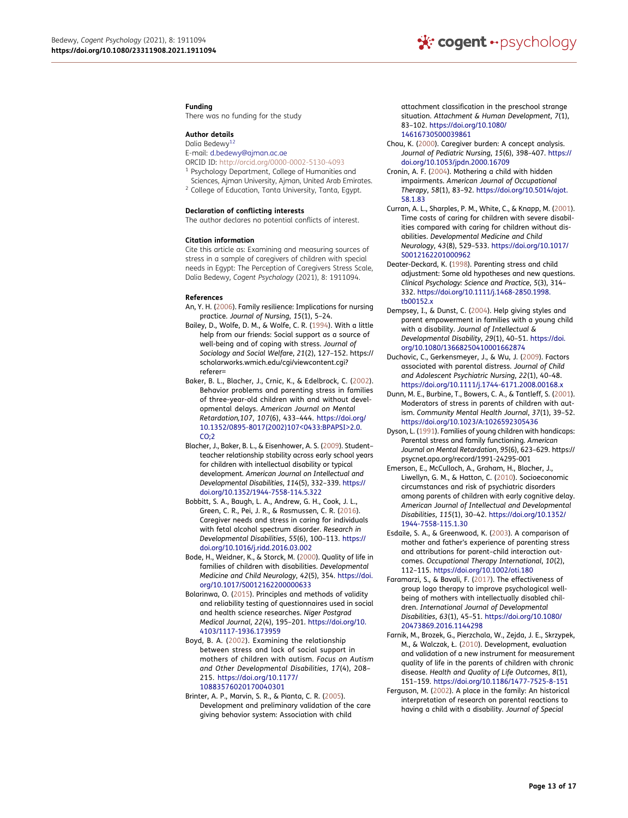#### **Funding**

There was no funding for the study

### **Author details**

<span id="page-13-0"></span>Dalia Bedewy<sup>12</sup>

- E-mail: d.bedewy@ajman.ac.ae
- ORCID ID: http://orcid.org/0000-0002-5130-4093 <sup>1</sup> Psychology Department, College of Humanities and
- Sciences, Ajman University, Ajman, United Arab Emirates.
- <sup>2</sup> College of Education, Tanta University, Tanta, Egypt.

### **Declaration of conflicting interests**

The author declares no potential conflicts of interest.

### **Citation information**

Cite this article as: Examining and measuring sources of stress in a sample of caregivers of children with special needs in Egypt: The Perception of Caregivers Stress Scale, Dalia Bedewy*, Cogent Psychology* (2021), 8: 1911094.

#### **References**

- <span id="page-13-13"></span>An, Y. H. ([2006\)](#page-2-0). Family resilience: Implications for nursing practice. *Journal of Nursing*, *15*(1), 5–24.
- <span id="page-13-2"></span>Bailey, D., Wolfe, D. M., & Wolfe, C. R. ([1994\)](#page-2-1). With a little help from our friends: Social support as a source of well-being and of coping with stress. *Journal of Sociology and Social Welfare*, *21*(2), 127–152. https:// scholarworks.wmich.edu/cgi/viewcontent.cgi? referer=
- <span id="page-13-18"></span>Baker, B. L., Blacher, J., Crnic, K., & Edelbrock, C. [\(2002](#page-3-0)). Behavior problems and parenting stress in families of three-year-old children with and without developmental delays. *American Journal on Mental Retardation,107*, *107*(6), 433–444. [https://doi.org/](https://doi.org/10.1352/0895-8017(2002)107%3C0433:BPAPSI%3E2.0.CO;2) [10.1352/0895-8017\(2002\)107<0433:BPAPSI>2.0.](https://doi.org/10.1352/0895-8017(2002)107%3C0433:BPAPSI%3E2.0.CO;2) [CO;2](https://doi.org/10.1352/0895-8017(2002)107%3C0433:BPAPSI%3E2.0.CO;2)
- <span id="page-13-11"></span>Blacher, J., Baker, B. L., & Eisenhower, A. S. [\(2009](#page-2-2)). Student– teacher relationship stability across early school years for children with intellectual disability or typical development. *American Journal on Intellectual and Developmental Disabilities*, *114*(5), 332–339. [https://](https://doi.org/10.1352/1944-7558-114.5.322)  [doi.org/10.1352/1944-7558-114.5.322](https://doi.org/10.1352/1944-7558-114.5.322)
- <span id="page-13-3"></span>Bobbitt, S. A., Baugh, L. A., Andrew, G. H., Cook, J. L., Green, C. R., Pei, J. R., & Rasmussen, C. R. ([2016\)](#page-2-1). Caregiver needs and stress in caring for individuals with fetal alcohol spectrum disorder. *Research in Developmental Disabilities*, *55*(6), 100–113. [https://](https://doi.org/10.1016/j.ridd.2016.03.002) [doi.org/10.1016/j.ridd.2016.03.002](https://doi.org/10.1016/j.ridd.2016.03.002)
- <span id="page-13-20"></span>Bode, H., Weidner, K., & Storck, M. ([2000\)](#page-11-0). Quality of life in families of children with disabilities. *Developmental Medicine and Child Neurology*, *42*(5), 354. [https://doi.](https://doi.org/10.1017/S0012162200000633)  [org/10.1017/S0012162200000633](https://doi.org/10.1017/S0012162200000633)
- <span id="page-13-21"></span>Bolarinwa, O. ([2015\)](#page-12-0). Principles and methods of validity and reliability testing of questionnaires used in social and health science researches. *Niger Postgrad Medical Journal*, *22*(4), 195–201. [https://doi.org/10.](https://doi.org/10.4103/1117-1936.173959)  [4103/1117-1936.173959](https://doi.org/10.4103/1117-1936.173959)
- <span id="page-13-1"></span>Boyd, B. A. ([2002](#page-2-3)). Examining the relationship between stress and lack of social support in mothers of children with autism. *Focus on Autism and Other Developmental Disabilities*, *17*(4), 208– 215. [https://doi.org/10.1177/](https://doi.org/10.1177/10883576020170040301) [10883576020170040301](https://doi.org/10.1177/10883576020170040301)
- <span id="page-13-4"></span>Brinter, A. P., Marvin, S. R., & Pianta, C. R. [\(2005](#page-2-1)). Development and preliminary validation of the care giving behavior system: Association with child

attachment classification in the preschool strange situation. *Attachment & Human Development*, *7*(1), 83–102. [https://doi.org/10.1080/](https://doi.org/10.1080/14616730500039861)  [14616730500039861](https://doi.org/10.1080/14616730500039861)

- <span id="page-13-6"></span>Chou, K. [\(2000](#page-2-4)). Caregiver burden: A concept analysis. *Journal of Pediatric Nursing*, *15*(6), 398–407. [https://](https://doi.org/10.1053/jpdn.2000.16709)  [doi.org/10.1053/jpdn.2000.16709](https://doi.org/10.1053/jpdn.2000.16709)
- <span id="page-13-7"></span>Cronin, A. F. [\(2004](#page-2-5)). Mothering a child with hidden impairments. *American Journal of Occupational Therapy*, *58*(1), 83–92. [https://doi.org/10.5014/ajot.](https://doi.org/10.5014/ajot.58.1.83) [58.1.83](https://doi.org/10.5014/ajot.58.1.83)
- <span id="page-13-17"></span>Curran, A. L., Sharples, P. M., White, C., & Knapp, M. [\(2001](#page-3-1)). Time costs of caring for children with severe disabilities compared with caring for children without disabilities. *Developmental Medicine and Child Neurology*, *43*(8), 529–533. [https://doi.org/10.1017/](https://doi.org/10.1017/S0012162201000962)  [S0012162201000962](https://doi.org/10.1017/S0012162201000962)
- <span id="page-13-15"></span>Deater-Deckard, K. [\(1998\)](#page-3-2). Parenting stress and child adjustment: Some old hypotheses and new questions. *Clinical Psychology: Science and Practice*, *5*(3), 314– 332. [https://doi.org/10.1111/j.1468-2850.1998.](https://doi.org/10.1111/j.1468-2850.1998.tb00152.x)  [tb00152.x](https://doi.org/10.1111/j.1468-2850.1998.tb00152.x)
- <span id="page-13-9"></span>Dempsey, I., & Dunst, C. [\(2004](#page-2-6)). Help giving styles and parent empowerment in families with a young child with a disability. *Journal of Intellectual & Developmental Disability*, *29*(1), 40–51. [https://doi.](https://doi.org/10.1080/13668250410001662874)  [org/10.1080/13668250410001662874](https://doi.org/10.1080/13668250410001662874)
- <span id="page-13-5"></span>Duchovic, C., Gerkensmeyer, J., & Wu, J. [\(2009](#page-2-7)). Factors associated with parental distress. *Journal of Child and Adolescent Psychiatric Nursing*, *22*(1), 40–48. <https://doi.org/10.1111/j.1744-6171.2008.00168.x>
- <span id="page-13-14"></span>Dunn, M. E., Burbine, T., Bowers, C. A., & Tantleff, S. [\(2001](#page-3-3)). Moderators of stress in parents of children with autism. *Community Mental Health Journal*, *37*(1), 39–52. <https://doi.org/10.1023/A:1026592305436>
- <span id="page-13-16"></span>Dyson, L. ([1991](#page-3-4)). Families of young children with handicaps: Parental stress and family functioning. *American Journal on Mental Retardation*, *95*(6), 623–629. https:// psycnet.apa.org/record/1991-24295-001
- <span id="page-13-22"></span>Emerson, E., McCulloch, A., Graham, H., Blacher, J., Liwellyn, G. M., & Hatton, C. [\(2010](#page-12-1)). Socioeconomic circumstances and risk of psychiatric disorders among parents of children with early cognitive delay. *American Journal of Intellectual and Developmental Disabilities*, *115*(1), 30–42. [https://doi.org/10.1352/](https://doi.org/10.1352/1944-7558-115.1.30) [1944-7558-115.1.30](https://doi.org/10.1352/1944-7558-115.1.30)
- <span id="page-13-19"></span>Esdaile, S. A., & Greenwood, K. [\(2003](#page-3-0)). A comparison of mother and father's experience of parenting stress and attributions for parent–child interaction outcomes. *Occupational Therapy International*, *10*(2), 112–115. <https://doi.org/10.1002/oti.180>
- <span id="page-13-10"></span>Faramarzi, S., & Bavali, F. [\(2017](#page-2-8)). The effectiveness of group logo therapy to improve psychological wellbeing of mothers with intellectually disabled children. *International Journal of Developmental Disabilities*, *63*(1), 45–51. [https://doi.org/10.1080/](https://doi.org/10.1080/20473869.2016.1144298) [20473869.2016.1144298](https://doi.org/10.1080/20473869.2016.1144298)
- <span id="page-13-12"></span>Farnik, M., Brozek, G., Pierzchala, W., Zejda, J. E., Skrzypek, M., & Walczak, Ł. [\(2010](#page-2-9)). Development, evaluation and validation of a new instrument for measurement quality of life in the parents of children with chronic disease. *Health and Quality of Life Outcomes*, *8*(1), 151–159. <https://doi.org/10.1186/1477-7525-8-151>
- <span id="page-13-8"></span>Ferguson, M. [\(2002](#page-2-10)). A place in the family: An historical interpretation of research on parental reactions to having a child with a disability. *Journal of Special*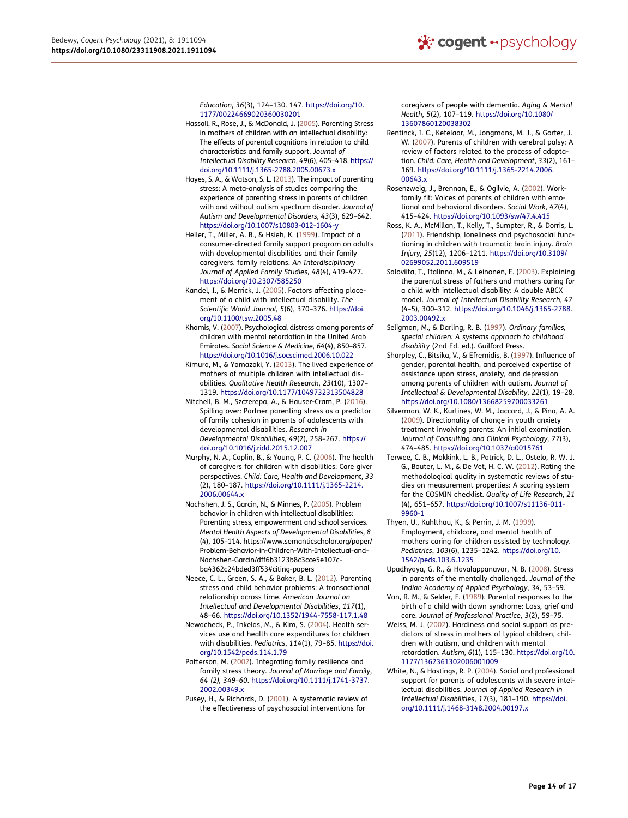*Education*, *36*(3), 124–130. 147. [https://doi.org/10.](https://doi.org/10.1177/00224669020360030201) [1177/00224669020360030201](https://doi.org/10.1177/00224669020360030201)

- <span id="page-14-10"></span>Hassall, R., Rose, J., & McDonald, J. ([2005](#page-2-11)). Parenting Stress in mothers of children with an intellectual disability: The effects of parental cognitions in relation to child characteristics and family support. *Journal of Intellectual Disability Research*, *49*(6), 405–418. [https://](https://doi.org/10.1111/j.1365-2788.2005.00673.x) [doi.org/10.1111/j.1365-2788.2005.00673.x](https://doi.org/10.1111/j.1365-2788.2005.00673.x)
- <span id="page-14-5"></span>Hayes, S. A., & Watson, S. L. ([2013](#page-2-2)). The impact of parenting stress: A meta-analysis of studies comparing the experience of parenting stress in parents of children with and without autism spectrum disorder. *Journal of Autism and Developmental Disorders*, *43*(3), 629–642. <https://doi.org/10.1007/s10803-012-1604-y>
- <span id="page-14-1"></span>Heller, T., Miller, A. B., & Hsieh, K. ([1999\)](#page-2-12). Impact of a consumer-directed family support program on adults with developmental disabilities and their family caregivers. family relations. *An Interdisciplinary Journal of Applied Family Studies*, *48*(4), 419–427. <https://doi.org/10.2307/585250>
- <span id="page-14-0"></span>Kandel, I., & Merrick, J. ([2005\)](#page-2-5). Factors affecting placement of a child with intellectual disability. *The Scientific World Journal*, *5*(6), 370–376. [https://doi.](https://doi.org/10.1100/tsw.2005.48)  [org/10.1100/tsw.2005.48](https://doi.org/10.1100/tsw.2005.48)
- <span id="page-14-17"></span>Khamis, V. [\(2007](#page-3-5)). Psychological distress among parents of children with mental retardation in the United Arab Emirates. *Social Science & Medicine*, *64*(4), 850–857. <https://doi.org/10.1016/j.socscimed.2006.10.022>
- <span id="page-14-2"></span>Kimura, M., & Yamazaki, Y. ([2013\)](#page-2-12). The lived experience of mothers of multiple children with intellectual disabilities. *Qualitative Health Research*, *23*(10), 1307– 1319. <https://doi.org/10.1177/1049732313504828>
- <span id="page-14-4"></span>Mitchell, B. M., Szczerepa, A., & Hauser-Cram, P. [\(2016](#page-2-8)). Spilling over: Partner parenting stress as a predictor of family cohesion in parents of adolescents with developmental disabilities. *Research in Developmental Disabilities*, *49*(2), 258–267. [https://](https://doi.org/10.1016/j.ridd.2015.12.007) [doi.org/10.1016/j.ridd.2015.12.007](https://doi.org/10.1016/j.ridd.2015.12.007)
- <span id="page-14-11"></span>Murphy, N. A., Caplin, B., & Young, P. C. ([2006\)](#page-3-3). The health of caregivers for children with disabilities: Care giver perspectives. *Child: Care, Health and Development*, *33*  (2), 180–187. [https://doi.org/10.1111/j.1365-2214.](https://doi.org/10.1111/j.1365-2214.2006.00644.x)  [2006.00644.x](https://doi.org/10.1111/j.1365-2214.2006.00644.x)
- <span id="page-14-16"></span>Nachshen, J. S., Garcin, N., & Minnes, P. [\(2005\)](#page-3-6). Problem behavior in children with intellectual disabilities: Parenting stress, empowerment and school services. *Mental Health Aspects of Developmental Disabilities*, *8*  (4), 105–114. https://www.semanticscholar.org/paper/ Problem-Behavior-in-Children-With-Intellectual-and-Nachshen-Garcin/dff6b3123b8c3cce5e107cba4362c24bded3ff53#citing-papers
- <span id="page-14-3"></span>Neece, C. L., Green, S. A., & Baker, B. L. [\(2012](#page-2-13)). Parenting stress and child behavior problems: A transactional relationship across time. *American Journal on Intellectual and Developmental Disabilities*, *117*(1), 48–66. <https://doi.org/10.1352/1944-7558-117.1.48>
- <span id="page-14-23"></span>Newacheck, P., Inkelas, M., & Kim, S. ([2004\)](#page-3-0). Health services use and health care expenditures for children with disabilities. *Pediatrics*, *114*(1), 79–85. [https://doi.](https://doi.org/10.1542/peds.114.1.79) [org/10.1542/peds.114.1.79](https://doi.org/10.1542/peds.114.1.79)
- <span id="page-14-24"></span>Patterson, M. [\(2002](#page-3-7)). Integrating family resilience and family stress theory. *Journal of Marriage and Family*, *64 (2), 349–60*. [https://doi.org/10.1111/j.1741-3737.](https://doi.org/10.1111/j.1741-3737.2002.00349.x)  [2002.00349.x](https://doi.org/10.1111/j.1741-3737.2002.00349.x)
- <span id="page-14-25"></span>Pusey, H., & Richards, D. ([2001\)](#page-11-1). A systematic review of the effectiveness of psychosocial interventions for

caregivers of people with dementia. *Aging & Mental Health*, *5*(2), 107–119. [https://doi.org/10.1080/](https://doi.org/10.1080/13607860120038302)  [13607860120038302](https://doi.org/10.1080/13607860120038302)

- <span id="page-14-6"></span>Rentinck, I. C., Ketelaar, M., Jongmans, M. J., & Gorter, J. W. [\(2007](#page-2-14)). Parents of children with cerebral palsy: A review of factors related to the process of adaptation. *Child: Care, Health and Development*, *33*(2), 161– 169. [https://doi.org/10.1111/j.1365-2214.2006.](https://doi.org/10.1111/j.1365-2214.2006.00643.x)  [00643.x](https://doi.org/10.1111/j.1365-2214.2006.00643.x)
- <span id="page-14-21"></span>Rosenzweig, J., Brennan, E., & Ogilvie, A. ([2002\)](#page-3-8). Workfamily fit: Voices of parents of children with emotional and behavioral disorders. *Social Work*, *47*(4), 415–424. <https://doi.org/10.1093/sw/47.4.415>
- <span id="page-14-14"></span>Ross, K. A., McMillan, T., Kelly, T., Sumpter, R., & Dorris, L. ([2011\)](#page-3-9). Friendship, loneliness and psychosocial functioning in children with traumatic brain injury. *Brain Injury*, *25*(12), 1206–1211. [https://doi.org/10.3109/](https://doi.org/10.3109/02699052.2011.609519) [02699052.2011.609519](https://doi.org/10.3109/02699052.2011.609519)
- <span id="page-14-19"></span>Saloviita, T., Italinna, M., & Leinonen, E. [\(2003](#page-3-10)). Explaining the parental stress of fathers and mothers caring for a child with intellectual disability: A double ABCX model. *Journal of Intellectual Disability Research*, *47*  (4–5), 300–312. [https://doi.org/10.1046/j.1365-2788.](https://doi.org/10.1046/j.1365-2788.2003.00492.x) [2003.00492.x](https://doi.org/10.1046/j.1365-2788.2003.00492.x)
- <span id="page-14-15"></span>Seligman, M., & Darling, R. B. [\(1997\)](#page-3-11). *Ordinary families, special children: A systems approach to childhood disability* (2nd Ed. ed.). Guilford Press.
- <span id="page-14-18"></span>Sharpley, C., Bitsika, V., & Efremidis, B. [\(1997](#page-3-12)). Influence of gender, parental health, and perceived expertise of assistance upon stress, anxiety, and depression among parents of children with autism. *Journal of Intellectual & Developmental Disability*, *22*(1), 19–28. <https://doi.org/10.1080/13668259700033261>
- <span id="page-14-13"></span>Silverman, W. K., Kurtines, W. M., Jaccard, J., & Pina, A. A. ([2009\)](#page-3-13). Directionality of change in youth anxiety treatment involving parents: An initial examination. *Journal of Consulting and Clinical Psychology*, *77*(3), 474–485. <https://doi.org/10.1037/a0015761>
- <span id="page-14-7"></span>Terwee, C. B., Mokkink, L. B., Patrick, D. L., Ostelo, R. W. J. G., Bouter, L. M., & De Vet, H. C. W. [\(2012](#page-2-15)). Rating the methodological quality in systematic reviews of studies on measurement properties: A scoring system for the COSMIN checklist. *Quality of Life Research*, *21*  (4), 651–657. [https://doi.org/10.1007/s11136-011-](https://doi.org/10.1007/s11136-011-9960-1)  [9960-1](https://doi.org/10.1007/s11136-011-9960-1)
- <span id="page-14-22"></span>Thyen, U., Kuhlthau, K., & Perrin, J. M. ([1999\)](#page-3-1). Employment, childcare, and mental health of mothers caring for children assisted by technology. *Pediatrics*, *103*(6), 1235–1242. [https://doi.org/10.](https://doi.org/10.1542/peds.103.6.1235)  [1542/peds.103.6.1235](https://doi.org/10.1542/peds.103.6.1235)
- <span id="page-14-20"></span>Upadhyaya, G. R., & Havalappanavar, N. B. [\(2008](#page-3-14)). Stress in parents of the mentally challenged. *Journal of the Indian Academy of Applied Psychology*, *34*, 53–59.
- <span id="page-14-8"></span>Van, R. M., & Selder, F. [\(1989](#page-2-16)). Parental responses to the birth of a child with down syndrome: Loss, grief and care. *Journal of Professional Practice*, *3*(2), 59–75.
- <span id="page-14-9"></span>Weiss, M. J. ([2002\)](#page-2-16). Hardiness and social support as predictors of stress in mothers of typical children, children with autism, and children with mental retardation. *Autism*, *6*(1), 115–130. [https://doi.org/10.](https://doi.org/10.1177/1362361302006001009)  [1177/1362361302006001009](https://doi.org/10.1177/1362361302006001009)
- <span id="page-14-12"></span>White, N., & Hastings, R. P. [\(2004](#page-3-3)). Social and professional support for parents of adolescents with severe intellectual disabilities. *Journal of Applied Research in Intellectual Disabilities*, *17*(3), 181–190. [https://doi.](https://doi.org/10.1111/j.1468-3148.2004.00197.x)  [org/10.1111/j.1468-3148.2004.00197.x](https://doi.org/10.1111/j.1468-3148.2004.00197.x)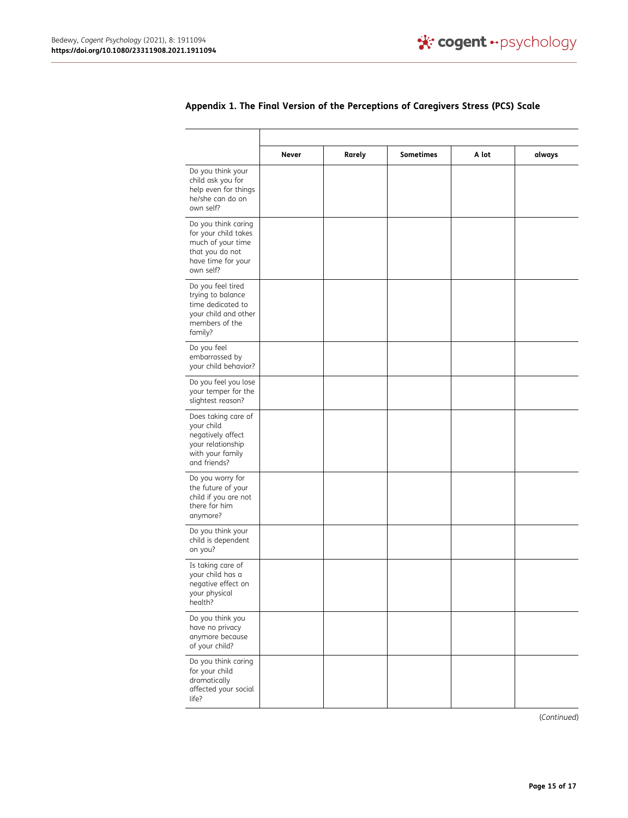|                                                                                                                        | Never | Rarely | <b>Sometimes</b> | A lot | always |
|------------------------------------------------------------------------------------------------------------------------|-------|--------|------------------|-------|--------|
| Do you think your<br>child ask you for<br>help even for things<br>he/she can do on<br>own self?                        |       |        |                  |       |        |
| Do you think caring<br>for your child takes<br>much of your time<br>that you do not<br>have time for your<br>own self? |       |        |                  |       |        |
| Do you feel tired<br>trying to balance<br>time dedicated to<br>your child and other<br>members of the<br>family?       |       |        |                  |       |        |
| Do you feel<br>embarrassed by<br>your child behavior?                                                                  |       |        |                  |       |        |
| Do you feel you lose<br>your temper for the<br>slightest reason?                                                       |       |        |                  |       |        |
| Does taking care of<br>your child<br>negatively affect<br>your relationship<br>with your family<br>and friends?        |       |        |                  |       |        |
| Do you worry for<br>the future of your<br>child if you are not<br>there for him<br>anymore?                            |       |        |                  |       |        |
| Do you think your<br>child is dependent<br>on you?                                                                     |       |        |                  |       |        |
| Is taking care of<br>your child has a<br>negative effect on<br>your physical<br>health?                                |       |        |                  |       |        |
| Do you think you<br>have no privacy<br>anymore because<br>of your child?                                               |       |        |                  |       |        |
| Do you think caring<br>for your child<br>dramatically<br>affected your social<br>life?                                 |       |        |                  |       |        |

## **Appendix 1. The Final Version of the Perceptions of Caregivers Stress (PCS) Scale**

Τ

(*Continued*)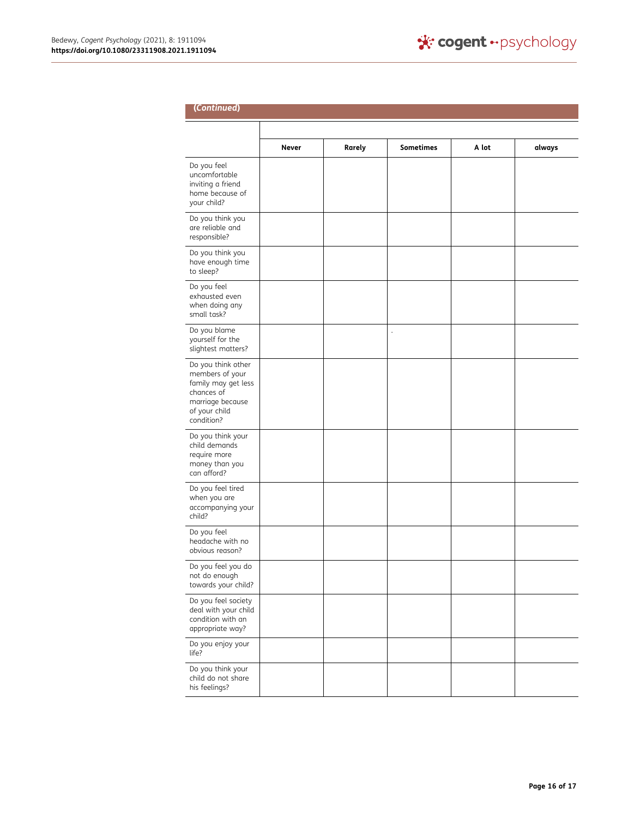his feelings?

| (Continued)                                                                         |              |        |                  |       |        |  |  |
|-------------------------------------------------------------------------------------|--------------|--------|------------------|-------|--------|--|--|
|                                                                                     |              |        |                  |       |        |  |  |
|                                                                                     | <b>Never</b> | Rarely | <b>Sometimes</b> | A lot | always |  |  |
| Do you feel<br>uncomfortable<br>inviting a friend<br>home because of<br>your child? |              |        |                  |       |        |  |  |
| Do you think you<br>are reliable and<br>responsible?                                |              |        |                  |       |        |  |  |
| Do you think you<br>have enough time<br>to sleep?                                   |              |        |                  |       |        |  |  |
| Do you feel                                                                         |              |        |                  |       |        |  |  |

| responsible?                                                                                                                  |  |  |  |
|-------------------------------------------------------------------------------------------------------------------------------|--|--|--|
| Do you think you<br>have enough time<br>to sleep?                                                                             |  |  |  |
| Do you feel<br>exhausted even<br>when doing any<br>small task?                                                                |  |  |  |
| Do you blame<br>yourself for the<br>slightest matters?                                                                        |  |  |  |
| Do you think other<br>members of your<br>family may get less<br>chances of<br>marriage because<br>of your child<br>condition? |  |  |  |
| Do you think your<br>child demands<br>require more<br>money than you<br>can afford?                                           |  |  |  |
| Do you feel tired<br>when you are<br>accompanying your<br>child?                                                              |  |  |  |
| Do you feel<br>headache with no<br>obvious reason?                                                                            |  |  |  |
| Do you feel you do<br>not do enough<br>towards your child?                                                                    |  |  |  |
| Do you feel society<br>deal with your child<br>condition with an<br>appropriate way?                                          |  |  |  |
| Do you enjoy your<br>life?                                                                                                    |  |  |  |
| Do you think your<br>child do not share                                                                                       |  |  |  |